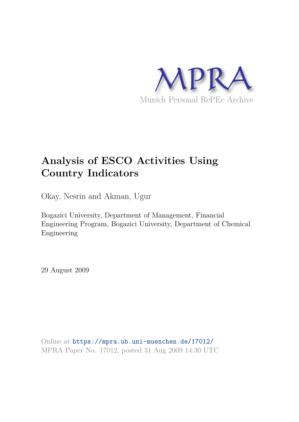

## **Analysis of ESCO Activities Using Country Indicators**

Okay, Nesrin and Akman, Ugur

Bogazici University, Department of Management, Financial Engineering Program, Bogazici University, Department of Chemical Engineering

29 August 2009

Online at https://mpra.ub.uni-muenchen.de/17012/ MPRA Paper No. 17012, posted 31 Aug 2009 14:30 UTC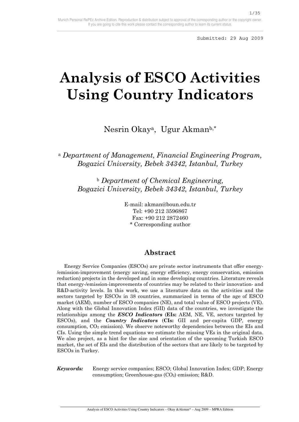# **Analysis of ESCO Activities Using Country Indicators**

Nesrin Okaya, Ugur Akmanb,\*

<sup>a</sup> *Department of Management, Financial Engineering Program, Bogazici University, Bebek 34342, Istanbul, Turkey* 

<sup>b</sup> *Department of Chemical Engineering, Bogazici University, Bebek 34342, Istanbul, Turkey* 

> E-mail: akman@boun.edu.tr Tel: +90 212 3596867 Fax: +90 212 2872460 \* Corresponding author

## **Abstract**

 Energy Service Companies (ESCOs) are private sector instruments that offer energy- /emission-improvement (energy saving, energy efficiency, energy conservation, emission reduction) projects in the developed and in some developing countries. Literature reveals that energy-/emission-improvements of countries may be related to their innovation- and R&D-activity levels. In this work, we use a literature data on the activities and the sectors targeted by ESCOs in 38 countries, summarized in terms of the age of ESCO market (AEM), number of ESCO companies (NE), and total value of ESCO projects (VE). Along with the Global Innovation Index (GII) data of the countries, we investigate the relationships among the *ESCO Indicators* (**EIs:** AEM, NE, VE, sectors targeted by ESCOs), and the *Country Indicators* (**CIs:** GII and per-capita GDP, energy consumption, CO2 emission). We observe noteworthy dependencies between the EIs and CIs. Using the simple trend equations we estimate the missing VEs in the original data. We also project, as a hint for the size and orientation of the upcoming Turkish ESCO market, the set of EIs and the distribution of the sectors that are likely to be targeted by ESCOs in Turkey.

*Keywords:* Energy service companies; ESCO; Global Innovation Index; GDP; Energy consumption; Greenhouse-gas  $(CO<sub>2</sub>)$  emission; R&D.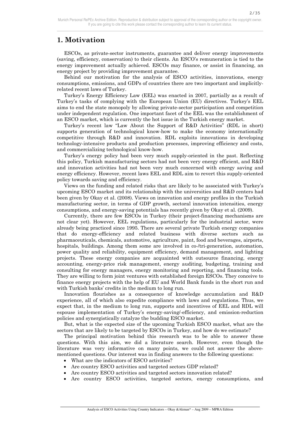2/35

## **1. Motivation**

 ESCOs, as private-sector instruments, guarantee and deliver energy improvements (saving, efficiency, conservation) to their clients. An ESCO's remuneration is tied to the energy improvement actually achieved. ESCOs may finance, or assist in financing, an energy project by providing improvement guarantee.

 Behind our motivation for the analysis of ESCO activities, innovations, energy consumptions, emissions, and GDPs of countries there are two important and implicitlyrelated recent laws of Turkey.

 Turkey's Energy Efficiency Law (EEL) was enacted in 2007, partially as a result of Turkey's tasks of complying with the European Union (EU) directives. Turkey's EEL aims to end the state monopoly by allowing private-sector participation and competition under independent regulation. One important facet of the EEL was the establishment of an ESCO market, which is currently the hot issue in the Turkish energy market.

 Turkey's recent law "Law About the Support of R&D Activities" (RDL in short) supports generation of technological know-how to make the economy internationally competitive through R&D and innovation. RDL exploits innovations in developing technology-intensive products and production processes, improving efficiency and costs, and commercializing technological know-how.

 Turkey's energy policy had been very much supply-oriented in the past. Reflecting this policy, Turkish manufacturing sectors had not been very energy efficient, and R&D and innovation activities had not been very much concerned with energy saving and energy efficiency. However, recent laws EEL and RDL aim to revert this supply-oriented policy towards saving and efficiency.

 Views on the funding and related risks that are likely to be associated with Turkey's upcoming ESCO market and its relationship with the universities and R&D centers had been given by Okay et al. (2008). Views on innovation and energy profiles in the Turkish manufacturing sector, in terms of GDP growth, sectoral innovation intensities, energy consumptions, and energy-saving potentials has recently given by Okay et al. (2009).

 Currently, there are few ESCOs in Turkey (their project-financing mechanisms are not clear yet). However, EEL regulations, particularly for the industrial sector, were already being practiced since 1995. There are several private Turkish energy companies that do energy-efficiency and related business with diverse sectors such as pharmaceuticals, chemicals, automotive, agriculture, paint, food and beverages, airports, hospitals, buildings. Among them some are involved in co-/tri-generation, automation, power quality and reliability, equipment efficiency, demand management, and lighting projects. These energy companies are acquainted with outsource financing, energy accounting, energy-price risk management, energy auditing, budgeting, training and consulting for energy managers, energy monitoring and reporting, and financing tools. They are willing to form joint ventures with established foreign ESCOs. They conceive to finance energy projects with the help of EU and World Bank funds in the short run and with Turkish banks' credits in the medium to long run.

 Innovation flourishes as a consequence of knowledge accumulation and R&D experience, all of which also expedite compliance with laws and regulations. Thus, we expect that, in the medium to long run, supports and incentives of EEL and RDL will espouse implementation of Turkey's energy-saving/-efficiency, and emission-reduction policies and synergistically catalyze the budding ESCO market.

But, what is the expected size of the upcoming Turkish ESCO market, what are the sectors that are likely to be targeted by ESCOs in Turkey, and how do we estimate?

 The principal motivation behind this research was to be able to answer these questions. With this aim, we did a literature search. However, even though the literature was very informative on many points, we could not answer the abovementioned questions. Our interest was in finding answers to the following questions:

• What are the indicators of ESCO activities?

- Are country ESCO activities and targeted sectors GDP related?
- Are country ESCO activities and targeted sectors innovation related?
- Are country ESCO activities, targeted sectors, energy consumptions, and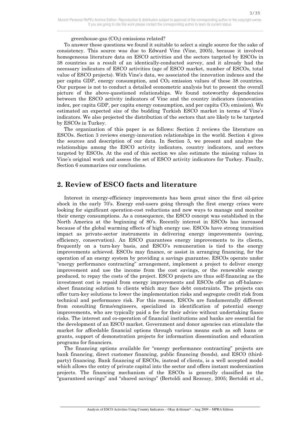greenhouse-gas  $(CO<sub>2</sub>)$  emissions related?

 To answer these questions we found it suitable to select a single source for the sake of consistency. This source was due to Edward Vine (Vine, 2005), because it involved homogeneous literature data on ESCO activities and the sectors targeted by ESCOs in 38 countries as a result of an identically-conducted survey, and it already had the necessary indicators of ESCO activities (age of ESCO market, number of ESCOs, total value of ESCO projects). With Vine's data, we associated the innovation indexes and the per capita GDP, energy consumption, and  $CO<sub>2</sub>$  emission values of these 38 countries. Our purpose is not to conduct a detailed econometric analysis but to present the overall picture of the above-questioned relationships. We found noteworthy dependencies between the ESCO activity indicators of Vine and the country indicators (innovation index, per capita GDP, per capita energy consumption, and per capita  $CO<sub>2</sub>$  emission). We estimated an expected size of the budding Turkish ESCO market in terms of Vine's indicators. We also projected the distribution of the sectors that are likely to be targeted by ESCOs in Turkey.

 The organization of this paper is as follows: Section 2 reviews the literature on ESCOs. Section 3 reviews energy-innovation relationships in the world. Section 4 gives the sources and description of our data. In Section 5, we present and analyze the relationships among the ESCO activity indicators, country indicators, and sectors targeted by ESCOs. At the end of this section we also estimate the missing values in Vine's original work and assess the set of ESCO activity indicators for Turkey. Finally, Section 6 summarizes our conclusions.

## **2. Review of ESCO facts and literature**

 Interest in energy-efficiency improvements has been great since the first oil-price shock in the early 70's. Energy end-users going through the first energy crises were looking for significant operation-cost reductions and new ways to manage and monitor their energy consumptions. As a consequence, the ESCO concept was established in the North America at the beginning of 80's. Recently interest in ESCOs has increased because of the global warming effects of high energy use. ESCOs have strong transition impact as private-sector instruments in delivering energy improvements (saving, efficiency, conservation). An ESCO guarantees energy improvements to its clients, frequently on a turn-key basis, and ESCO's remuneration is tied to the energy improvements achieved. ESCOs may finance, or assist in arranging financing, for the operation of an energy system by providing a savings guarantee. ESCOs operate under "energy performance contracting" arrangement, implement a project to deliver energy improvement and use the income from the cost savings, or the renewable energy produced, to repay the costs of the project. ESCO projects are thus self-financing as the investment cost is repaid from energy improvements and ESCOs offer an off-balancesheet financing solution to clients which may face debt constraints. The projects can offer turn-key solutions to lower the implementation risks and segregate credit risk from technical and performance risk. For this reason, ESCOs are fundamentally different from consulting firms/engineers, specialized in identification of potential energy improvements, who are typically paid a fee for their advice without undertaking fiasco risks. The interest and co-operation of financial institutions and banks are essential for the development of an ESCO market. Government and donor agencies can stimulate the market for affordable financial options through various means such as soft loans or grants, support of demonstration projects for information dissemination and education programs for financiers.

 The financing options available for "energy performance contracting" projects are bank financing, direct customer financing, public financing (bonds), and ESCO (thirdparty) financing. Bank financing of ESCOs, instead of clients, is a well accepted model which allows the entry of private capital into the sector and offers instant modernization projects. The financing mechanism of the ESCOs is generally classified as the "guaranteed savings" and "shared savings" (Bertoldi and Rezessy, 2005; Bertoldi et al.,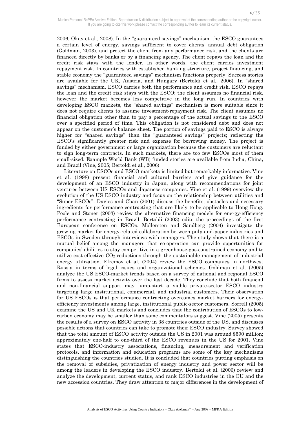2006, Okay et al., 2008). In the "guaranteed savings" mechanism, the ESCO guarantees a certain level of energy, savings sufficient to cover clients' annual debt obligation (Goldman, 2003), and protect the client from any performance risk, and the clients are financed directly by banks or by a financing agency. The client repays the loan and the credit risk stays with the lender. In other words, the client carries investment repayment risk. In countries with established banking structure, project financing, and stable economy the "guaranteed savings" mechanism functions properly. Success stories are available for the UK, Austria, and Hungary (Bertoldi et al., 2006). In "shared savings" mechanism, ESCO carries both the performance and credit risk. ESCO repays the loan and the credit risk stays with the ESCO; the client assumes no financial risk, however the market becomes less competitive in the long run. In countries with developing ESCO markets, the "shared savings" mechanism is more suitable since it does not require clients to assume investment-repayment risk. The client assumes no financial obligation other than to pay a percentage of the actual savings to the ESCO over a specified period of time. This obligation is not considered debt and does not appear on the customer's balance sheet. The portion of savings paid to ESCO is always higher for "shared savings" than the "guaranteed savings" projects; reflecting the ESCO's significantly greater risk and expense for borrowing money. The project is funded by either government or large organization because the customers are reluctant to sign long-term contracts. In such markets, there are too few ESCOs most of them small-sized. Example World Bank (WB) funded stories are available from India, China, and Brazil (Vine, 2005; Bertoldi et al., 2006).

 Literature on ESCOs and ESCO markets is limited but remarkably informative. Vine et al. (1998) present financial and cultural barriers and give guidance for the development of an ESCO industry in Japan, along with recommendations for joint ventures between US ESCOs and Japanese companies. Vine et al. (1999) overview the evolution of the US ESCO industry and focus on the relationship between utilities and "Super ESCOs". Davies and Chan (2001) discuss the benefits, obstacles and necessary ingredients for performance contracting that are likely to be applicable to Hong Kong. Poole and Stoner (2003) review the alternative financing models for energy-efficiency performance contracting in Brazil. Bertoldi (2003) edits the proceedings of the first European conference on ESCOs. Möllersten and Sandberg (2004) investigate the growing market for energy-related collaboration between pulp-and-paper industries and ESCOs in Sweden through interviews with managers. The study shows that there is a mutual belief among the managers that co-operation can provide opportunities for companies' abilities to stay competitive in a greenhouse-gas-constrained economy and to utilize cost-effective  $CO<sub>2</sub>$  reductions through the sustainable management of industrial energy utilization. Efremov et al. (2004) review the ESCO companies in northwest Russia in terms of legal issues and organizational schemes. Goldman et al. (2005) analyze the US ESCO-market trends based on a survey of national and regional ESCO firms to assess market activity over the last decade. They conclude that both financial and non-financial support may jump-start a viable private-sector ESCO industry targeting large institutional, commercial, and industrial customers. Their observation for US ESCOs is that performance contracting overcomes market barriers for energyefficiency investments among large, institutional public-sector customers. Sorrell (2005) examine the US and UK markets and concludes that the contribution of ESCOs to lowcarbon economy may be smaller than some commentators suggest. Vine (2005) presents the results of a survey on ESCO activity in 38 countries outside of the US, and discusses possible actions that countries can take to promote their ESCO industry. Survey showed that the total amount of ESCO activity outside the US in 2001 was around \$590 million; approximately one-half to one-third of the ESCO revenues in the US for 2001. Vine states that ESCO-industry associations, financing, measurement and verification protocols, and information and education programs are some of the key mechanisms distinguishing the countries studied. It is concluded that countries putting emphasis on the removal of subsidies, privatization of energy industry and power sector will be among the leaders in developing the ESCO industry. Bertoldi et al. (2006) review and analyze the development, current status, and rank ESCO industries in the EU and the new accession countries. They draw attention to major differences in the development of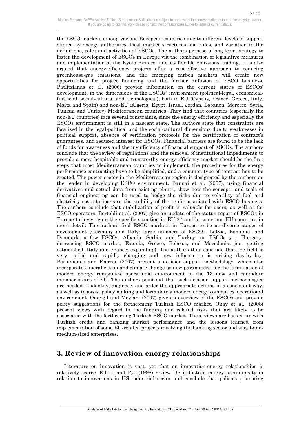the ESCO markets among various European countries due to different levels of support offered by energy authorities, local market structures and rules, and variation in the definitions, roles and activities of ESCOs. The authors propose a long-term strategy to foster the development of ESCOs in Europe via the combination of legislative measures and implementation of the Kyoto Protocol and its flexible emissions trading. It is also argued that energy-efficiency projects offer a cost-effective approach to reducing greenhouse-gas emissions, and the emerging carbon markets will create new opportunities for project financing and the further diffusion of ESCO business. Patlitzianas et al. (2006) provide information on the current status of ESCOs' development, in the dimensions of the ESCOs' environment (political-legal, economicalfinancial, social-cultural and technological), both in EU (Cyprus, France, Greece, Italy, Malta and Spain) and non-EU (Algeria, Egypt, Israel, Jordan, Lebanon, Morocco, Syria, Tunisia and Turkey) Mediterranean countries. They find that countries (especially the non-EU countries) face several constraints, since the energy efficiency and especially the ESCOs environment is still in a nascent state. The authors state that constraints are focalized in the legal-political and the social-cultural dimensions due to weaknesses in political support, absence of verification protocols for the certification of contract's guarantees, and reduced interest for ESCOs. Financial barriers are found to be the lack of funds for awareness and the insufficiency of financial support of ESCOs. The authors conclude that the review of regulations and the removal of institutional impediments to provide a more hospitable and trustworthy energy-efficiency market should be the first steps that most Mediterranean countries to implement, the procedures for the energy performance contracting have to be simplified, and a common type of contract has to be created. The power sector in the Mediterranean region is designated by the authors as the leader in developing ESCO environment. Bannai et al. (2007), using financial derivatives and actual data from existing plants, show how the concepts and tools of financial engineering can be used to hedge the risks due to volatility of fuel and electricity costs to increase the stability of the profit associated with ESCO business. The authors conclude that stabilization of profit is valuable for users, as well as for ESCO operators. Bertoldi et al. (2007) give an update of the status report of ESCOs in Europe to investigate the specific situation in EU-27 and in some non-EU countries in more detail. The authors find ESCO markets in Europe to be at diverse stages of development (Germany and Italy: large numbers of ESCOs, Latvia, Romania, and Denmark: a few ESCOs, Albania, Serbia, and Turkey: no ESCOs yet, Hungary: decreasing ESCO market, Estonia, Greece, Belarus, and Macedonia: just getting established, Italy and France: expanding). The authors thus conclude that the field is very turbid and rapidly changing and new information is arising day-by-day. Patlitzianas and Psarras (2007) present a decision-support methodology, which also incorporates liberalization and climate change as new parameters, for the formulation of modern energy companies' operational environment in the 13 new and candidate member states of EU. The authors point out that such decision-support methodologies are needed to identify, diagnose, and order the appropriate actions in a consistent way, as well as to assist policy making and formulate a modern energy companies' operational environment. Onaygil and Meylani (2007) give an overview of the ESCOs and provide policy suggestions for the forthcoming Turkish ESCO market. Okay et al., (2008) present views with regard to the funding and related risks that are likely to be associated with the forthcoming Turkish ESCO market. These views are backed up with Turkish credit and banking market performance and the lessons learned from implementation of some EU-related projects involving the banking sector and small-andmedium-sized enterprises.

## **3. Review of innovation-energy relationships**

 $\overline{a}$ 

 Literature on innovation is vast, yet that on innovation-energy relationships is relatively scarce. Elliott and Pye (1998) review US industrial energy use/intensity in relation to innovations in US industrial sector and conclude that policies promoting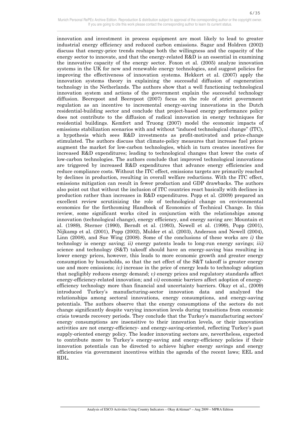innovation and investment in process equipment are most likely to lead to greater industrial energy efficiency and reduced carbon emissions. Sagar and Holdren (2002) discuss that energy-price trends reshape both the willingness and the capacity of the energy sector to innovate, and that the energy-related  $R&D$  is an essential in examining the innovative capacity of the energy sector. Foxon et al. (2005) analyze innovation systems in the UK for new and renewable energy technologies, and suggest policies for improving the effectiveness of innovation systems. Hekkert et al. (2007) apply the innovation systems theory in explaining the successful diffusion of cogeneration technology in the Netherlands. The authors show that a well functioning technological innovation system and actions of the government explain the successful technology diffusion. Beerepoot and Beerepoot (2007) focus on the role of strict government regulation as an incentive to incremental energy-saving innovations in the Dutch residential-building sector and conclude that project-based energy performance policy does not contribute to the diffusion of radical innovation in energy techniques for residential buildings. Kemfert and Truong (2007) model the economic impacts of emissions stabilization scenarios with and without "induced technological change" (ITC), a hypothesis which sees R&D investments as profit-motivated and price-change stimulated. The authors discuss that climate-policy measures that increase fuel prices augment the market for low-carbon technologies, which in turn creates incentives for increased R&D expenditures; leading to technological changes that lower the costs of low-carbon technologies. The authors conclude that improved technological innovations are triggered by increased R&D expenditures that advance energy efficiencies and reduce compliance costs. Without the ITC effect, emissions targets are primarily reached by declines in production, resulting in overall welfare reductions. With the ITC effect, emissions mitigation can result in fewer production and GDP drawbacks. The authors also point out that without the inclusion of ITC countries react basically with declines in production rather than increases in R&D expenditures. Popp et al. (2009) prepared an excellent review scrutinizing the role of technological change on environmental economics for the forthcoming Handbook of Economics of Technical Change. In this review, some significant works cited in conjunction with the relationships among innovation (technological change), energy efficiency, and energy saving are: Mountain et al. (1989), Sterner (1990), Berndt et al. (1993), Newell et al. (1999), Popp (2001), Nijkamp et al. (2001), Popp (2002), Mulder et al. (2003), Anderson and Newell (2004), Linn (2008), and Sue Wing (2008). Some of the conclusions of these works are *i)* the technology is energy saving; *ii)* energy patents leads to long-run energy savings; *iii)* science and technology (S&T) takeoff should have an energy-saving bias resulting in lower energy prices, however, this leads to more economic growth and greater energy consumption by households, so that the net effect of the S&T takeoff is greater energy use and more emissions; *iv)* increase in the price of energy leads to technology adoption that negligibly reduces energy demand; *v)* energy prices and regulatory standards affect energy-efficiency-related innovation; and *vi)* economic barriers affect adoption of energyefficiency technology more than financial and uncertainty barriers. Okay et al., (2009) introduced Turkey's manufacturing-sector innovation data and analyzed the relationships among sectoral innovations, energy consumptions, and energy-saving potentials. The authors observe that the energy consumptions of the sectors do not change significantly despite varying innovation levels during transitions from economic crisis towards recovery periods. They conclude that the Turkey's manufacturing sectors' energy consumptions are insensitive to their innovation levels, or their innovation activities are not energy-efficiency- and energy-saving-oriented, reflecting Turkey's past supply-oriented energy policy. The leader innovating sectors are, nevertheless, expected to contribute more to Turkey's energy-saving and energy-efficiency policies if their innovation potentials can be directed to achieve higher energy savings and energy efficiencies via government incentives within the agenda of the recent laws; EEL and RDL.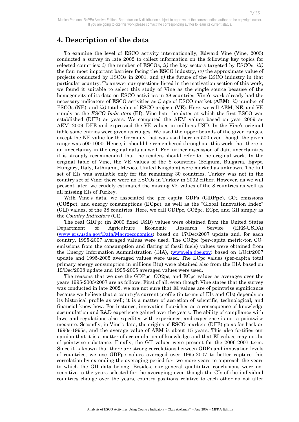## **4. Description of the data**

 To examine the level of ESCO activity internationally, Edward Vine (Vine, 2005) conducted a survey in late 2002 to collect information on the following key topics for selected countries: *i)* the number of ESCOs, *ii)* the key sectors targeted by ESCOs, *iii)* the four most important barriers facing the ESCO industry, *iv)* the approximate value of projects conducted by ESCOs in 2001, and *v)* the future of the ESCO industry in that particular country. To answer our questions listed in the motivation section of this work, we found it suitable to select this study of Vine as the single source because of the homogeneity of its data on ESCO activities in 38 countries. Vine's work already had the necessary indicators of ESCO activities as *i)* age of ESCO market (**AEM**), *ii)* number of ESCOs (**NE**), and *iii)* total value of ESCO projects (**VE**). Here, we call AEM, NE, and VE simply as the *ESCO Indicators* (**EI**). Vine lists the dates at which the first ESCO was established (DFE) as years. We computed the AEM values based on year 2009 as AEM=2009−DFE and expressed the VE values in millions USD. In the Vine's original table some entries were given as ranges. We used the upper bounds of the given ranges, except the NE value for the Germany that was used here as 500 even though the given range was 500-1000. Hence, it should be remembered throughout this work that there is an uncertainty in the original data as well. For further discussion of data uncertainties it is strongly recommended that the readers should refer to the original work. In the original table of Vine, the VE values of the 8 countries (Belgium, Bulgaria, Egypt, Hungary, Italy, Lithuania, Mexico, United Kingdom) were marked as unknown. The full set of EIs was available only for the remaining 30 countries. Turkey was not in the country set of Vine; there were no ESCOs in Turkey in 2002 either. However, as we will present later, we crudely estimated the missing VE values of the 8 countries as well as all missing EIs of Turkey.

With Vine's data, we associated the per capita GDPs (GDPpc), CO<sub>2</sub> emissions (**CO2pc**), and energy consumptions (**ECpc**), as well as the "Global Innovation Index" (**GII**) values, of the 38 countries. Here, we call GDPpc, CO2pc, ECpc, and GII simply as the *Country Indicators* (**CI**).

 The real GDPpc (in 2000 fixed USD) values were obtained from the United States Department of Agriculture Economic Research Service (ERS-USDA) (www.ers.usda.gov/Data/Macroeconomics) based on 17/Dec/2007 update and, for each country, 1995-2007 averaged values were used. The CO2pc (per-capita metric-ton  $CO<sub>2</sub>$ emissions from the consumption and flaring of fossil fuels) values were obtained from the Energy Information Administration (EIA), (www.eia.doe.gov) based on 1/Oct/2007 update and 1995-2005 averaged values were used. The ECpc values (per-capita total primary energy consumption in millions Btu) were obtained also from the EIA based on 19/Dec/2008 update and 1995-2005 averaged values were used.

 The reasons that we use the GDPpc, CO2pc, and ECpc values as averages over the years 1995-2005/2007 are as follows. First of all, even though Vine states that the survey was conducted in late 2002, we are not sure that EI values are of pointwise significance because we believe that a country's current profile (in terms of EIs and CIs) depends on its historical profile as well; it is a matter of accretion of scientific, technological, and financial know-how. For instance, innovation flourishes as a consequence of knowledge accumulation and R&D experience gained over the years. The ability of compliance with laws and regulations also expedites with experience, and experience is not a pointwise measure. Secondly, in Vine's data, the origins of ESCO markets (DFE) go as far back as 1990s-1995s, and the average value of AEM is about 15 years. This also fortifies our opinion that it is a matter of accumulation of knowledge and that EI values may not be of pointwise substance. Finally, the GII values were present for the 2006-2007 term. Since it is known that there are strong correlations between GDPs and innovation levels of countries, we use GDPpc values averaged over 1995-2007 to better capture this correlation by extending the averaging period for two more years to approach the years to which the GII data belong. Besides, our general qualitative conclusions were not sensitive to the years selected for the averaging; even though the CIs of the individual countries change over the years, country positions relative to each other do not alter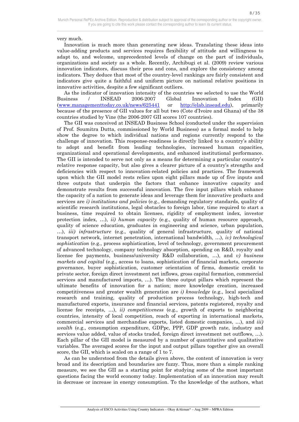8/35

very much.

 $\overline{a}$ 

 Innovation is much more than generating new ideas. Translating these ideas into value-adding products and services requires flexibility of attitude and willingness to adapt to, and welcome, unprecedented levels of change on the part of individuals, organizations and society as a whole. Recently, Archibugi et al. (2009) review various innovation indicators, discuss their pros and cons, and explore the consistency among indicators. They deduce that most of the country-level rankings are fairly consistent and indicators give quite a faithful and uniform picture on national relative positions in innovative activities, despite a few significant outliers.

 As the indicator of innovation intensity of the countries we selected to use the World Business / INSEAD 2006-2007 Global Innovation Index (GII) (www.managementtoday.co.uk/news/625441 or http://elab.insead.edu), primarily because of the presence of GII values for all but two (Cote d'Ivoire and Ghana) of the 38 countries studied by Vine (the 2006-2007 GII scores 107 countries).

 The GII was conceived at INSEAD Business School (conducted under the supervision of Prof. Soumitra Dutta, commissioned by World Business) as a formal model to help show the degree to which individual nations and regions currently respond to the challenge of innovation. This response-readiness is directly linked to a country's ability to adopt and benefit from leading technologies, increased human capacities, organizational and operational developments, and enhanced institutional performance. The GII is intended to serve not only as a means for determining a particular country's relative response capacity, but also gives a clearer picture of a country's strengths and deficiencies with respect to innovation-related policies and practices. The framework upon which the GII model rests relies upon eight pillars made up of five inputs and three outputs that underpin the factors that enhance innovative capacity and demonstrate results from successful innovation. The five input pillars which enhance the capacity of a nation to generate ideas and leverage them for innovative products and services are *i) institutions and policies* (e.g., demanding regulatory standards, quality of scientific research institutions, legal obstacles to foreign labor, time required to start a business, time required to obtain licenses, rigidity of employment index, investor protection index, …), *ii) human capacity* (e.g., quality of human resource approach, quality of science education, graduates in engineering and science, urban population, …), *iii) infrastructure* (e.g., quality of general infrastructure, quality of national transport network, internet penetration, international bandwidth, …), *iv) technological sophistication* (e.g., process sophistication, level of technology, government procurement of advanced technology, company technology absorption, spending on R&D, royalty and license fee payments, business/university R&D collaboration, …), and *v) business markets and capital* (e.g., access to loans, sophistication of financial markets, corporate governance, buyer sophistication, customer orientation of firms, domestic credit to private sector, foreign direct investment net inflows, gross capital formation, commercial services and manufactured imports, …). The three output pillars which represent the ultimate benefits of innovation for a nation; more knowledge creation, increased competitiveness and greater wealth generation are *i) knowledge* (e.g., local specialized research and training, quality of production process technology, high-tech and manufactured exports, insurance and financial services, patents registered, royalty and license fee receipts, …), *ii) competitiveness* (e.g., growth of exports to neighboring countries, intensity of local competition, reach of exporting in international markets, commercial services and merchandise exports, listed domestic companies, …), and *iii) wealth* (e.g., consumption expenditure, GDPpc, PPP, GDP growth rate, industry and services value added, value of stocks traded, foreign direct investment net outflows, …). Each pillar of the GII model is measured by a number of quantitative and qualitative variables. The averaged scores for the input and output pillars together give an overall score, the GII, which is scaled on a range of 1 to 7.

 As can be understood from the details given above, the content of innovation is very broad and its description and boundaries are fuzzy. Thus, more than a simple ranking measure, we see the GII as a starting point for studying some of the most important questions facing the world economy today. Implementation of an innovation may result in decrease or increase in energy consumption. To the knowledge of the authors, what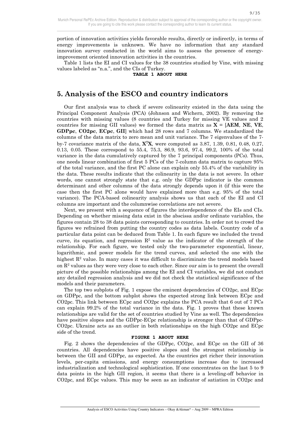9/35

portion of innovation activities yields favorable results, directly or indirectly, in terms of energy improvements is unknown. We have no information that any standard innovation survey conducted in the world aims to assess the presence of energyimprovement oriented innovation activities in the countries.

 Table 1 lists the EI and CI values for the 38 countries studied by Vine, with missing values labeled as "n.a.", and the CIs of Turkey.

#### **TABLE 1 ABOUT HERE**

## **5. Analysis of the ESCO and country indicators**

 Our first analysis was to check if severe colinearity existed in the data using the Principal Component Analysis (PCA) (Johnson and Wichern, 2002). By removing the countries with missing values (8 countries and Turkey for missing VE values and 2 countries for missing GII values) we formed the data matrix as  $X = [AEM, NE, VE]$ **GDPpc**, **CO2pc**, **ECpc**, **GII**] which had 28 rows and 7 columns. We standardized the columns of the data matrix to zero mean and unit variance. The 7 eigenvalues of the 7 by-7 covariance matrix of the data, **X**<sup>T</sup>**X**, were computed as 3.87, 1.39, 0.81, 0.48, 0.27, 0.13, 0.05. These correspond to 55.4, 75.3, 86.9, 93.6, 97.4, 99.2, 100% of the total variance in the data cumulatively captured by the 7 principal components (PCs). Thus, one needs linear combination of first 5 PCs of the 7-column data matrix to capture 95% of the total variance, and the first PC alone can explain only 55.4% of the variability in the data. These results indicate that the colinearity in the data is not severe. In other words, one cannot strongly state that e.g. only the GDPpc indicator is the common determinant and other columns of the data strongly depends upon it (if this were the case then the first PC alone would have explained more than e.g. 95% of the total variance). The PCA-based colinearity analysis shows us that each of the EI and CI columns are important and the columnwise correlations are not severe.

 Next, we present with a sequence of figures the interdependence of the EIs and CIs. Depending on whether missing data exist in the abscissa and/or ordinate variables, the figures contain 28 to 38 data points corresponding to countries. In order not to crowd the figures we refrained from putting the country codes as data labels. Country code of a particular data point can be deduced from Table 1. In each figure we included the trend curve, its equation, and regression  $\mathbb{R}^2$  value as the indicator of the strength of the relationship. For each figure, we tested only the two-parameter exponential, linear, logarithmic, and power models for the trend curves, and selected the one with the highest  $\mathbb{R}^2$  value. In many cases it was difficult to discriminate the trend models based on  $\mathbb{R}^2$  values as they were very close to each other. Since our aim is to present the overall picture of the possible relationships among the EI and CI variables, we did not conduct any detailed regression analysis and we did not check the statistical significance of the models and their parameters.

 The top two subplots of Fig. 1 expose the eminent dependencies of CO2pc, and ECpc on GDPpc, and the bottom subplot shows the expected strong link between ECpc and CO2pc. This link between ECpc and CO2pc explains the PCA result that 6 out of 7 PCs can explain 99.2% of the total variance in the data. Fig. 1 proves that these known relationships are valid for the set of countries studied by Vine as well. The dependencies have positive slopes and the GDPpc-ECpc relationship is stronger than that of GDPpc-CO2pc. Ukraine acts as an outlier in both relationships on the high CO2pc and ECpc side of the trend.

#### **FIGURE 1 ABOUT HERE**

 Fig. 2 shows the dependencies of the GDPpc, CO2pc, and ECpc on the GII of 36 countries. All dependencies have positive slopes and the strongest relationship is between the GII and GDPpc, as expected. As the countries get richer their innovation levels, per-capita emissions, and energy consumptions increase due to increased industrialization and technological sophistication. If one concentrates on the last 5 to 9 data points in the high GII region, it seems that there is a leveling-off behavior in CO2pc, and ECpc values. This may be seen as an indicator of satiation in CO2pc and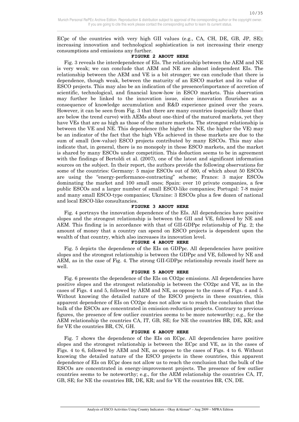ECpc of the countries with very high GII values (e.g., CA, CH, DE, GB, JP, SE); increasing innovation and technological sophistication is not increasing their energy consumptions and emissions any further.

#### **FIGURE 2 ABOUT HERE**

 Fig. 3 reveals the interdependence of EIs. The relationship between the AEM and NE is very weak; we can conclude that AEM and NE are almost independent EIs. The relationship between the AEM and VE is a bit stronger; we can conclude that there is dependence, though weak, between the maturity of an ESCO market and its value of ESCO projects. This may also be an indication of the presence/importance of accretion of scientific, technological, and financial know-how in ESCO markets. This observation may further be linked to the innovation issue, since innovation flourishes as a consequence of knowledge accumulation and R&D experience gained over the years. However, it can be seen from Fig. 3 that there are many countries (especially those that are below the trend curve) with AEMs about one-third of the matured markets, yet they have VEs that are as high as those of the mature markets. The strongest relationship is between the VE and NE. This dependence (the higher the NE, the higher the VE) may be an indicator of the fact that the high VEs achieved in these markets are due to the sum of small (low-value) ESCO projects contributed by many ESCOs. This may also indicate that, in general, there is no monopoly in these ESCO markets, and the market is shared by many ESCOs under competition. This deduction seems to be in agreement with the findings of Bertoldi et al. (2007), one of the latest and significant information sources on the subject. In their report, the authors provide the following observations for some of the countries: Germany: 5 major ESCOs out of 500, of which about 50 ESCOs are using the "energy-performance-contracting" scheme; France: 3 major ESCOs dominating the market and 100 small ones; Spain: over 10 private companies, a few public ESCOs and a larger number of small ESCO-like companies; Portugal: 7-8 major and many small ESCO-type companies; Ukraine: 3 ESCOs plus a few dozen of national and local ESCO-like consultancies.

#### **FIGURE 3 ABOUT HERE**

 Fig. 4 portrays the innovation dependence of the EIs. All dependencies have positive slopes and the strongest relationship is between the GII and VE, followed by NE and AEM. This finding is in accordance with that of GII-GDPpc relationship of Fig. 2; the amount of money that a country can spend on ESCO projects is dependent upon the wealth of that country, which also increases its innovation level.

#### **FIGURE 4 ABOUT HERE**

 Fig. 5 depicts the dependence of the EIs on GDPpc. All dependencies have positive slopes and the strongest relationship is between the GDPpc and VE, followed by NE and AEM, as in the case of Fig. 4. The strong GII-GDPpc relationship reveals itself here as well.

#### **FIGURE 5 ABOUT HERE**

 Fig. 6 presents the dependence of the EIs on CO2pc emissions. All dependencies have positive slopes and the strongest relationship is between the CO2pc and VE, as in the cases of Figs. 4 and 5, followed by AEM and NE, as oppose to the cases of Figs. 4 and 5. Without knowing the detailed nature of the ESCO projects in these countries, this apparent dependence of EIs on CO2pc does not allow us to reach the conclusion that the bulk of the ESCOs are concentrated in emission-reduction projects. Contrary to previous figures, the presence of few outlier countries seems to be more noteworthy; e.g., for the AEM relationship the countries CA, IT, GB, SE; for NE the countries BR, DE, KR; and for VE the countries BR, CN, GH.

#### **FIGURE 6 ABOUT HERE**

 Fig. 7 shows the dependence of the EIs on ECpc. All dependencies have positive slopes and the strongest relationship is between the ECpc and VE, as in the cases of Figs. 4 to 6, followed by AEM and NE, as oppose to the cases of Figs. 4 to 6. Without knowing the detailed nature of the ESCO projects in these countries, this apparent dependence of EIs on ECpc does not allow us to reach the conclusion that the bulk of the ESCOs are concentrated in energy-improvement projects. The presence of few outlier countries seems to be noteworthy; e.g., for the AEM relationship the countries CA, IT, GB, SE; for NE the countries BR, DE, KR; and for VE the countries BR, CN, DE.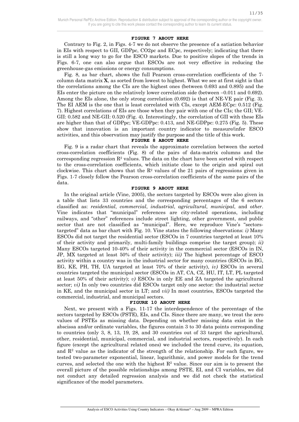#### **FIGURE 7 ABOUT HERE**

 Contrary to Fig. 2, in Figs. 4-7 we do not observe the presence of a satiation behavior in EIs with respect to GII, GDPpc, CO2pc and ECpc, respectively; indicating that there is still a long way to go for the ESCO markets. Due to positive slopes of the trends in Figs. 6-7, one can also argue that ESCOs are not very effective in reducing the greenhouse-gas emissions or energy consumptions.

 Fig. 8, as bar chart, shows the full Pearson cross-correlation coefficients of the 7 column data matrix **X**, as sorted from lowest to highest. What we see at first sight is that the correlations among the CIs are the highest ones (between 0.693 and 0.895) and the EIs enter the picture on the relatively lower correlation side (between −0.011 and 0.692). Among the EIs alone, the only strong correlation (0.692) is that of NE-VE pair (Fig. 3). The EI AEM is the one that is least correlated with CIs, except AEM-ECpc: 0.512 (Fig. 7). Highest correlations of EIs are those when they pair with one of the CIs; the GII; VE-GII: 0.582 and NE-GII: 0.520 (Fig. 4). Interestingly, the correlation of GII with these EIs are higher than that of GDPpc; VE-GDPpc: 0.413, and NE-GDPpc: 0.275 (Fig. 5). These show that innovation is an important country indicator to measure/infer ESCO activities, and this observation may justify the purpose and the title of this work.

#### **FIGURE 8 ABOUT HERE**

 Fig. 9 is a radar chart that reveals the approximate correlation between the sorted cross-correlation coefficients (Fig. 8) of the pairs of data-matrix columns and the corresponding regression  $\mathbb{R}^2$  values. The data on the chart have been sorted with respect to the cross-correlation coefficients, which initiate close to the origin and spiral out clockwise. This chart shows that the  $R^2$  values of the 21 pairs of regressions given in Figs. 1-7 closely follow the Pearson cross-correlation coefficients of the same pairs of the data.

#### **FIGURE 9 ABOUT HERE**

 In the original article (Vine, 2005), the sectors targeted by ESCOs were also given in a table that lists 33 countries and the corresponding percentages of the 6 sectors classified as: *residential*, *commercial*, *industrial*, *agricultural*, *municipal*, and *other*. Vine indicates that "municipal" references are city-related operations, including railways, and "other" references include street lighting, other government, and public sector that are not classified as "municipal". Here, we reproduce Vine's "sectorstargeted" data as bar chart with Fig. 10. Vine states the following observations: *i)* Many ESCOs did not target the residential sector (ESCOs in 7 countries targeted at least 10% of their activity and primarily, multi-family buildings comprise the target group); *ii)* Many ESCOs targeted 10-40% of their activity in the commercial sector (ESCOs in IN, JP, MX targeted at least 50% of their activity); *iii)* The highest percentage of ESCO activity within a country was in the industrial sector for many countries (ESCOs in BG, EG, KE, PH, TH, UA targeted at least 70% of their activity), *iv)* ESCOs in several countries targeted the municipal sector (ESCOs in AT, CA, CZ, HU, IT, LT, PL targeted at least 50% of their activity); *v)* ESCOs in only EE and ZA targeted the agricultural sector; *vi)* In only two countries did ESCOs target only one sector: the industrial sector in KE, and the municipal sector in LT; and *vii)* In most countries, ESCOs targeted the commercial, industrial, and municipal sectors.

#### **FIGURE 10 ABOUT HERE**

 Next, we present with a Figs. 11-17 the interdependence of the percentage of the sectors targeted by ESCOs (PSTE), EIs, and CIs. Since there are many, we treat the zero values of PSTEs as missing data. Depending on whether missing data exist in the abscissa and/or ordinate variables, the figures contain 3 to 30 data points corresponding to countries (only 3, 8, 13, 19, 28, and 30 countries out of 33 target the agricultural, other, residential, municipal, commercial, and industrial sectors, respectively). In each figure (except the agricultural related ones) we included the trend curve, its equation, and  $\mathbb{R}^2$  value as the indicator of the strength of the relationship. For each figure, we tested two-parameter exponential, linear, logarithmic, and power models for the trend curves, and selected the one with the highest  $\mathbb{R}^2$  value. Since our aim is to present the overall picture of the possible relationships among PSTE, EI, and CI variables, we did not conduct any detailed regression analysis and we did not check the statistical significance of the model parameters.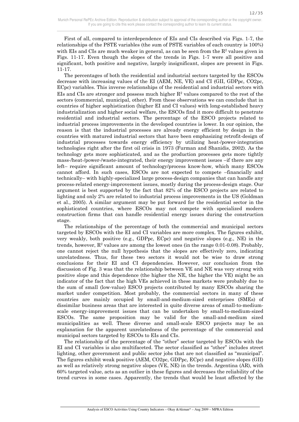First of all, compared to interdependence of EIs and CIs described via Figs. 1-7, the relationships of the PSTE variables (the sum of PSTE variables of each country is 100%) with EIs and CIs are much weaker in general, as can be seen from the  $R^2$  values given in Figs. 11-17. Even though the slopes of the trends in Figs. 1-7 were all positive and significant, both positive and negative, largely insignificant, slopes are present in Figs. 11-17.

 The percentages of both the residential and industrial sectors targeted by the ESCOs decrease with increasing values of the EI (AEM, NE, VE) and CI (GII, GDPpc, CO2pc, ECpc) variables. This inverse relationships of the residential and industrial sectors with EIs and CIs are stronger and possess much higher  $R^2$  values compared to the rest of the sectors (commercial, municipal, other). From these observations we can conclude that in countries of higher sophistication (higher EI and CI values) with long-established heavy industrialization and higher social welfare, the ESCOs find it more difficult to penetrate residential and industrial sectors. The percentage of the ESCO projects related to industrial process improvements in the developed countries is lower. In our opinion, the reason is that the industrial processes are already energy efficient by design in the countries with matured industrial sectors that have been emphasizing retrofit-design of industrial processes towards energy efficiency by utilizing heat-/power-integration technologies right after the first oil crisis in 1973 (Furman and Shanidis, 2002). As the technology gets more sophisticated, and as the production processes gets more tightly mass-/heat-/power-/waste-integrated, their energy improvement issues –if there are any left– require significant amount of technology/process know-how, which many ESCOs cannot afford. In such cases, ESCOs are not expected to compete –financially and technically– with highly-specialized large process-design companies that can handle any process-related energy-improvement issues, mostly during the process-design stage. Our argument is best supported by the fact that 82% of the ESCO projects are related to lighting and only 2% are related to industrial process improvements in the US (Goldman et al., 2005). A similar argument may be put forward for the residential sector in the sophisticated countries, where ESCOs may not compete with specialized modern construction firms that can handle residential energy issues during the construction stage.

 The relationships of the percentage of both the commercial and municipal sectors targeted by ESCOs with the EI and CI variables are more complex. The figures exhibit, very weakly, both positive (e.g., GDPpc, ECpc) and negative slopes (e.g., NE) in the trends, however,  $R^2$  values are among the lowest ones (in the range 0.01-0.08). Probably, one cannot reject the null hypothesis that the slopes are effectively zero, indicating unrelatedness. Thus, for these two sectors it would not be wise to draw strong conclusions for their EI and CI dependencies. However, our conclusion from the discussion of Fig. 3 was that the relationship between VE and NE was very strong with positive slope and this dependence (the higher the NE, the higher the VE) might be an indicator of the fact that the high VEs achieved in these markets were probably due to the sum of small (low-value) ESCO projects contributed by many ESCOs sharing the market under competition. Most probably, the commercial sectors in many of these countries are mainly occupied by small-and-medium-sized enterprises (SMEs) of dissimilar business areas that are interested in quite diverse areas of small-to-mediumscale energy-improvement issues that can be undertaken by small-to-medium-sized ESCOs. The same proposition may be valid for the small-and-medium sized municipalities as well. These diverse and small-scale ESCO projects may be an explanation for the apparent unrelatedness of the percentage of the commercial and municipal sectors targeted by ESCOs to EIs and CIs.

 The relationship of the percentage of the "other" sector targeted by ESCOs with the EI and CI variables is also multifaceted. The sector classified as "other" includes street lighting, other government and public sector jobs that are not classified as "municipal". The figures exhibit weak positive (AEM, CO2pc, GDPpc, ECpc) and negative slopes (GII) as well as relatively strong negative slopes (VE, NE) in the trends. Argentina (AR), with 60% targeted value, acts as an outlier in these figures and decreases the reliability of the trend curves in some cases. Apparently, the trends that would be least affected by the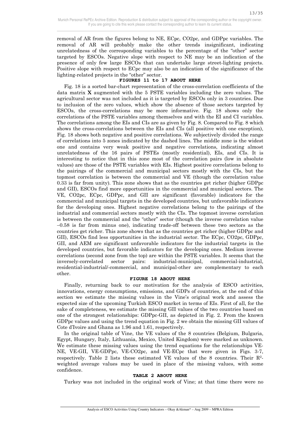removal of AR from the figures belong to NE, ECpc, CO2pc, and GDPpc variables. The removal of AR will probably make the other trends insignificant, indicating unrelatedness of the corresponding variables to the percentage of the "other" sector targeted by ESCOs. Negative slope with respect to NE may be an indication of the presence of only few large ESCOs that can undertake large street-lighting projects. Positive slope with respect to ECpc may also be an indication of the significance of the lighting-related projects in the "other" sector.

#### **FIGURES 11 to 17 ABOUT HERE**

 Fig. 18 is a sorted bar-chart representation of the cross-correlation coefficients of the data matrix **X** augmented with the 5 PSTE variables including the zero values. The agricultural sector was not included as it is targeted by ESCOs only in 3 countries. Due to inclusion of the zero values, which show the absence of those sectors targeted by ESCOs, the cross-correlations may be more informative. Fig. 18 shows only the correlations of the PSTE variables among themselves and with the EI and CI variables. The correlations among the EIs and CIs are as given by Fig. 8. Compared to Fig. 8 which shows the cross-correlations between the EIs and CIs (all positive with one exception), Fig. 18 shows both negative and positive correlations. We subjectively divided the range of correlations into 5 zones indicated by the dashed lines. The middle zone is the widest one and contains very weak positive and negative correlations, indicating almost unrelatedness of the 16 pairs of PSTEs (mostly residential), EIs, and CIs. It is interesting to notice that in this zone most of the correlation pairs (low in absolute values) are those of the PSTE variables with EIs. Highest positive correlations belong to the pairings of the commercial and municipal sectors mostly with the CIs, but the topmost correlation is between the commercial and VE (though the correlation value 0.33 is far from unity). This zone shows that as the countries get richer (higher GDPpc and GII), ESCOs find more opportunities in the commercial and municipal sectors. The VE, CO2pc, ECpc, GDPpc, and GII are significant (favorable) indicators for the commercial and municipal targets in the developed countries, but unfavorable indicators for the developing ones. Highest negative correlations belong to the pairings of the industrial and commercial sectors mostly with the CIs. The topmost inverse correlation is between the commercial and the "other" sector (though the inverse correlation value −0.58 is far from minus one), indicating trade-off between these two sectors as the countries get richer. This zone shows that as the countries get richer (higher GDPpc and GII), ESCOs find less opportunities in the industrial sector. The ECpc, CO2pc, GDPpc, GII, and AEM are significant unfavorable indicators for the industrial targets in the developed countries, but favorable indicators for the developing ones. Medium inverse correlations (second zone from the top) are within the PSTE variables. It seems that the inversely-correlated sector pairs: industrial-municipal, commercial-industrial, residential-industrial/-commercial, and municipal-other are complementary to each other.

#### **FIGURE 18 ABOUT HERE**

 Finally, returning back to our motivation for the analysis of ESCO activities, innovations, energy consumptions, emissions, and GDPs of countries, at the end of this section we estimate the missing values in the Vine's original work and assess the expected size of the upcoming Turkish ESCO market in terms of EIs. First of all, for the sake of completeness, we estimate the missing GII values of the two countries based on one of the strongest relationships: GDPpc-GII, as depicted in Fig. 2. From the known GDPpc values and using the trend equation in Fig. 2 we obtain the missing GII values of Cote d'Ivoire and Ghana as 1.96 and 1.61, respectively.

 In the original table of Vine, the VE values of the 8 countries (Belgium, Bulgaria, Egypt, Hungary, Italy, Lithuania, Mexico, United Kingdom) were marked as unknown. We estimate these missing values using the trend equations for the relationships VE-NE, VE-GII, VE-GDPpc, VE-CO2pc, and VE-ECpc that were given in Figs. 3-7, respectively. Table 2 lists these estimated VE values of the 8 countries. Their  $\mathbb{R}^2$ weighted average values may be used in place of the missing values, with some confidence.

#### **TABLE 2 ABOUT HERE**

Turkey was not included in the original work of Vine; at that time there were no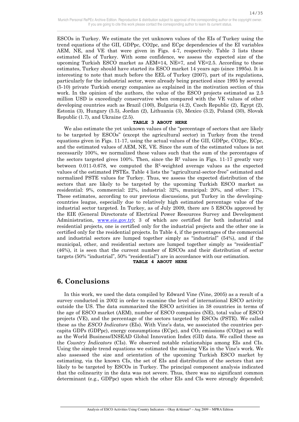ESCOs in Turkey. We estimate the yet unknown values of the EIs of Turkey using the trend equations of the GII, GDPpc, CO2pc, and ECpc dependencies of the EI variables AEM, NE, and VE that were given in Figs. 4-7, respectively. Table 3 lists these estimated EIs of Turkey. With some confidence, we assess the expected size of the upcoming Turkish ESCO market as  $AEM=14$ ,  $NE=7$ , and  $VE=2.5$ . According to these estimates, Turkey should have started its ESCO market 14 years ago (since 1995s). It is interesting to note that much before the EEL of Turkey (2007), part of its regulations, particularly for the industrial sector, were already being practiced since 1995 by several (5-10) private Turkish energy companies as explained in the motivation section of this work. In the opinion of the authors, the value of the ESCO projects estimated as 2.5 million USD is exceedingly conservative when compared with the VE values of other developing countries such as Brazil (100), Bulgaria (4.2), Czech Republic (2), Egypt (2), Estonia (3), Hungary (5.5), Jordan (2), Lithuania (3), Mexico (3.2), Poland (30), Slovak Republic (1.7), and Ukraine (2.5).

#### **TABLE 3 ABOUT HERE**

 We also estimate the yet unknown values of the "percentage of sectors that are likely to be targeted by ESCOs" (except the agricultural sector) in Turkey from the trend equations given in Figs. 11-17, using the actual values of the GII, GDPpc, CO2pc, ECpc, and the estimated values of AEM, NE, VE. Since the sum of the estimated values is not necessarily 100%, we normalized these values such that the sum of the percentages of the sectors targeted gives 100%. Then, since the  $\mathbb{R}^2$  values in Figs. 11-17 greatly vary between 0.011-0.678, we computed the  $\mathbb{R}^2$ -weighted average values as the expected values of the estimated PSTEs. Table 4 lists the "agricultural-sector-free" estimated and normalized PSTE values for Turkey. Thus, we assess the expected distribution of the sectors that are likely to be targeted by the upcoming Turkish ESCO market as residential: 9%, commercial: 22%, industrial: 32%, municipal: 20%, and other: 17%. These estimates, according to our previous discussions, put Turkey in the developingcountries league, especially due to relatively high estimated percentage value of the industrial sector targeted. In Turkey, as of July 2009, there are 5 ESCOs approved by the EIE (General Directorate of Electrical Power Resources Survey and Development Administration, www.eie.gov.tr); 3 of which are certified for both industrial and residential projects, one is certified only for the industrial projects and the other one is certified only for the residential projects. In Table 4, if the percentages of the commercial and industrial sectors are lumped together simply as "industrial" (54%), and if the municipal, other, and residential sectors are lumped together simply as "residential" (46%), it is seen that the current number of ESCOs and their distribution of sector targets (50% "industrial", 50% "residential") are in accordance with our estimation. **TABLE 4 ABOUT HERE** 

## **6. Conclusions**

 $\overline{a}$ 

 In this work, we used the data compiled by Edward Vine (Vine, 2005) as a result of a survey conducted in 2002 in order to examine the level of international ESCO activity outside the US. The data summarized the ESCO activities in 38 countries in terms of the age of ESCO market (AEM), number of ESCO companies (NE), total value of ESCO projects (VE), and the percentage of the sectors targeted by ESCOs (PSTE). We called these as the *ESCO Indicators* (EIs). With Vine's data, we associated the countries percapita GDPs (GDPpc), energy consumptions (ECpc), and  $CO<sub>2</sub>$  emissions (CO2pc) as well as the World Business/INSEAD Global Innovation Index (GII) data. We called these as the *Country Indicators* (CIs). We observed notable relationships among EIs and CIs. Using the simple trend equations we estimated the missing VEs in the Vine's work. We also assessed the size and orientation of the upcoming Turkish ESCO market by estimating, via the known CIs, the set of EIs and distribution of the sectors that are likely to be targeted by ESCOs in Turkey. The principal component analysis indicated that the colinearity in the data was not severe. Thus, there was no significant common determinant (e.g., GDPpc) upon which the other EIs and CIs were strongly depended;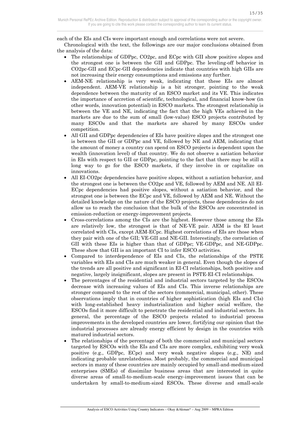each of the EIs and CIs were important enough and correlations were not severe.

 Chronological with the text, the followings are our major conclusions obtained from the analysis of the data:

- The relationships of GDPpc, CO2pc, and ECpc with GII show positive slopes and the strongest one is between the GII and GDPpc. The leveling-off behavior in CO2pc-GII and ECpc-GII dependencies indicate that countries with high GIIs are not increasing their energy consumptions and emissions any further.
- AEM-NE relationship is very weak, indicating that these EIs are almost independent. AEM-VE relationship is a bit stronger, pointing to the weak dependence between the maturity of an ESCO market and its VE. This indicates the importance of accretion of scientific, technological, and financial know-how (in other words, innovation potential) in ESCO markets. The strongest relationship is between the VE and NE, indicating the fact that the high VEs achieved in the markets are due to the sum of small (low-value) ESCO projects contributed by many ESCOs and that the markets are shared by many ESCOs under competition.
- All GII and GDPpc dependencies of EIs have positive slopes and the strongest one is between the GII or GDPpc and VE, followed by NE and AEM, indicating that the amount of money a country can spend on ESCO projects is dependent upon the wealth (innovation level) of that country. We do not observe a satiation behavior in EIs with respect to GII or GDPpc, pointing to the fact that there may be still a long way to go for the ESCO markets, if they involve in or capitalize on innovations.
- All EI-CO2pc dependencies have positive slopes, without a satiation behavior, and the strongest one is between the CO2pc and VE, followed by AEM and NE. All EI-ECpc dependencies had positive slopes, without a satiation behavior, and the strongest one is between the ECpc and VE, followed by AEM and NE. Without the detailed knowledge on the nature of the ESCO projects, these dependencies do not allow us to reach the conclusion that the bulk of the ESCOs are concentrated in emission-reduction or energy-improvement projects.
- Cross-correlations among the CIs are the highest. However those among the EIs are relatively low, the strongest is that of NE-VE pair. AEM is the EI least correlated with CIs, except AEM-ECpc. Highest correlations of EIs are those when they pair with one of the GII; VE-GII and NE-GII. Interestingly, the correlation of GII with these EIs is higher than that of GDPpc; VE-GDPpc, and NE-GDPpc. These show that GII is an important CI to infer ESCO activities.
- Compared to interdependence of EIs and CIs, the relationships of the PSTE variables with EIs and CIs are much weaker in general. Even though the slopes of the trends are all positive and significant in EI-CI relationships, both positive and negative, largely insignificant, slopes are present in PSTE-EI-CI relationships.
- The percentages of the residential and industrial sectors targeted by the ESCOs decrease with increasing values of EIs and CIs. This inverse relationships are stronger compared to the rest of the sectors (commercial, municipal, other). These observations imply that in countries of higher sophistication (high EIs and CIs) with long-established heavy industrialization and higher social welfare, the ESCOs find it more difficult to penetrate the residential and industrial sectors. In general, the percentage of the ESCO projects related to industrial process improvements in the developed countries are lower, fortifying our opinion that the industrial processes are already energy efficient by design in the countries with matured industrial sectors.
- The relationships of the percentage of both the commercial and municipal sectors targeted by ESCOs with the EIs and CIs are more complex, exhibiting very weak positive (e.g., GDPpc, ECpc) and very weak negative slopes (e.g., NE) and indicating probable unrelatedness. Most probably, the commercial and municipal sectors in many of these countries are mainly occupied by small-and-medium-sized enterprises (SMEs) of dissimilar business areas that are interested in quite diverse areas of small-to-medium-scale energy-improvement issues that can be undertaken by small-to-medium-sized ESCOs. These diverse and small-scale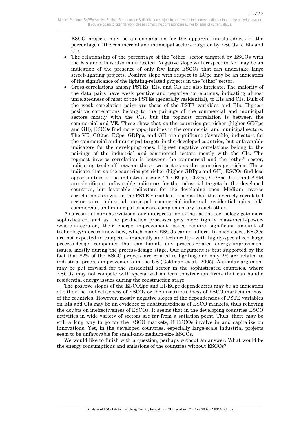ESCO projects may be an explanation for the apparent unrelatedness of the percentage of the commercial and municipal sectors targeted by ESCOs to EIs and CIs.

- The relationship of the percentage of the "other" sector targeted by ESCOs with the EIs and CIs is also multifaceted. Negative slope with respect to NE may be an indication of the presence of only few large ESCOs that can undertake large street-lighting projects. Positive slope with respect to ECpc may be an indication of the significance of the lighting-related projects in the "other" sector.
- Cross-correlations among PSTEs, EIs, and CIs are also intricate. The majority of the data pairs have weak positive and negative correlations, indicating almost unrelatedness of most of the PSTEs (generally residential), to EIs and CIs. Bulk of the weak correlation pairs are those of the PSTE variables and EIs. Highest positive correlations belong to the pairings of the commercial and municipal sectors mostly with the CIs, but the topmost correlation is between the commercial and VE. These show that as the countries get richer (higher GDPpc and GII), ESCOs find more opportunities in the commercial and municipal sectors. The VE, CO2pc, ECpc, GDPpc, and GII are significant (favorable) indicators for the commercial and municipal targets in the developed countries, but unfavorable indicators for the developing ones. Highest negative correlations belong to the pairings of the industrial and commercial sectors mostly with the CIs. The topmost inverse correlation is between the commercial and the "other" sector, indicating trade-off between these two sectors as the countries get richer. These indicate that as the countries get richer (higher GDPpc and GII), ESCOs find less opportunities in the industrial sector. The ECpc, CO2pc, GDPpc, GII, and AEM are significant unfavorable indicators for the industrial targets in the developed countries, but favorable indicators for the developing ones. Medium inverse correlations are within the PSTE variables. It seems that the inversely-correlated sector pairs: industrial-municipal, commercial-industrial, residential-industrial/ commercial, and municipal-other are complementary to each other.

 As a result of our observations, our interpretation is that as the technology gets more sophisticated, and as the production processes gets more tightly mass-/heat-/power- /waste-integrated, their energy improvement issues require significant amount of technology/process know-how, which many ESCOs cannot afford. In such cases, ESCOs are not expected to compete –financially and technically– with highly-specialized large process-design companies that can handle any process-related energy-improvement issues, mostly during the process-design stage. Our argument is best supported by the fact that 82% of the ESCO projects are related to lighting and only 2% are related to industrial process improvements in the US (Goldman et al., 2005). A similar argument may be put forward for the residential sector in the sophisticated countries, where ESCOs may not compete with specialized modern construction firms that can handle residential energy issues during the construction stage.

 The positive slopes of the EI-CO2pc and EI-ECpc dependencies may be an indication of either the ineffectiveness of ESCOs or the unsaturatedness of ESCO markets in most of the countries. However, mostly negative slopes of the dependencies of PSTE variables on EIs and CIs may be an evidence of unsaturatedness of ESCO markets, thus relieving the doubts on ineffectiveness of ESCOs. It seems that in the developing countries ESCO activities in wide variety of sectors are far from a satiation point. Thus, there may be still a long way to go for the ESCO markets, if ESCOs involve in and capitalize on innovations. Yet, in the developed countries, especially large-scale industrial projects seem to be unfavorable for small-and-medium-size ESCOs.

 We would like to finish with a question, perhaps without an answer. What would be the energy consumptions and emissions of the countries without ESCOs?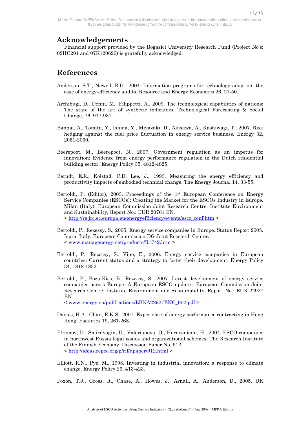## **Acknowledgements**

 Financial support provided by the Bogazici University Research Fund (Project No's: 02HC201 and 07K120620) is gratefully acknowledged.

## **References**

 $\overline{a}$ 

- Anderson, S.T., Newell, R.G., 2004. Information programs for technology adoption: the case of energy-efficiency audits. Resource and Energy Economics 26, 27-50.
- Archibugi, D., Denni, M., Filippetti, A., 2009. The technological capabilities of nations: The state of the art of synthetic indicators. Technological Forecasting & Social Change, 76, 917-931.
- Bannai, A., Tomita, Y., Ishida, Y., Miyazaki, D., Akisawa, A., Kashiwagi, T., 2007. Risk hedging against the fuel price fluctuation in energy service business. Energy 32, 2051-2060.
- Beerepoot, M., Beerepoot, N., 2007. Government regulation as an impetus for innovation: Evidence from energy performance regulation in the Dutch residential building sector. Energy Policy 35, 4812-4825.
- Berndt, E.R., Kolstad, C.D. Lee, J., 1993. Measuring the energy efficiency and productivity impacts of embodied technical change. The Energy Journal 14, 33-55.
- Bertoldi, P. (Editor), 2003. Proceedings of the  $1<sup>st</sup>$  European Conference on Energy Service Companies (ESCOs): Creating the Market for the ESCOs Industry in Europe. Milan (Italy), European Commission Joint Research Centre, Institute Environment and Sustainability, Report No.: EUR 20761 EN. < http://re.jrc.ec.europa.eu/energyefficiency/events/esco\_conf.htm >
- Bertoldi, P., Rezessy, S., 2005. Energy service companies in Europe. Status Report 2005. Ispra, Italy, European Commission DG Joint Research Center.  $\langle$  www.managenergy.net/products/R1742.htm  $>$
- Bertoldi, P., Rezessy, S., Vine, E., 2006. Energy service companies in European countries: Current status and a strategy to foster their development. Energy Policy 34, 1818-1832.
- Bertoldi, P., Boza-Kiss, B., Rezessy, S., 2007. Latest development of energy service companies across Europe -A European ESCO update-. European Commission Joint Research Centre, Institute Environment and Sustainability, Report No.: EUR 22927 EN.

< www.energy.eu/publications/LBNA22927ENC\_002.pdf >

- Davies, H.A., Chan, E.K.S., 2001. Experience of energy performance contracting in Hong Kong. Facilities 19, 261-268.
- Efremov, D., Smirnyagin, D., Valerianova, O., Hernesniemi, H., 2004. ESCO companies in northwest Russia legal issues and organizational schemes. The Research Institute of the Finnish Economy, Discussion Paper No. 912. < http://ideas.repec.org/p/rif/dpaper/912.html >
- Elliott, R.N., Pye, M., 1998. Investing in industrial innovation: a response to climate change. Energy Policy 26, 413-423.

Foxon, T.J., Gross, R., Chase, A., Howes, J., Arnall, A., Anderson, D., 2005. UK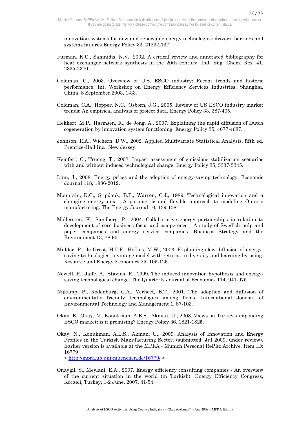innovation systems for new and renewable energy technologies: drivers, barriers and systems failures Energy Policy 33, 2123-2137.

- Furman, K.C., Sahinidis, N.V., 2002. A critical review and annotated bibliography for heat exchanger network synthesis in the 20th century. Ind. Eng. Chem. Res. 41, 2335-2370.
- Goldman, C., 2003. Overview of U.S. ESCO industry: Recent trends and historic performance. Int. Workshop on Energy Efficiency Services Industries, Shanghai, China, 8 September 2003, 1-33.
- Goldman, C.A., Hopper, N.C., Osborn, J.G., 2005. Review of US ESCO industry market trends: An empirical analysis of project data. Energy Policy 33, 387-405.
- Hekkert, M.P., Harmsen, R., de Jong, A., 2007. Explaining the rapid diffusion of Dutch cogeneration by innovation system functioning. Energy Policy 35, 4677-4687.
- Johnson, R.A., Wichern, D.W., 2002. Applied Multivariate Statistical Analysis, fifth ed. Prentice-Hall Inc., New Jersey.
- Kemfert, C., Truong, T., 2007. Impact assessment of emissions stabilization scenarios with and without induced technological change. Energy Policy 35, 5337-5345.
- Linn, J., 2008. Energy prices and the adoption of energy-saving technology. Economic Journal 118, 1986-2012.
- Mountain, D.C., Stipdonk, B.P., Warren, C.J., 1989. Technological innovation and a changing energy mix - A parametric and flexible approach to modeling Ontario manufacturing. The Energy Journal 10, 139-158.
- Möllersten, K., Sandberg, P., 2004. Collaborative energy partnerships in relation to development of core business focus and competence - A study of Swedish pulp and paper companies and energy service companies. Business Strategy and the Environment 13, 78-95.
- Mulder, P., de Groot, H.L.F., Hofkes, M.W., 2003. Explaining slow diffusion of energysaving technologies; a vintage model with returns to diversity and learning-by-using. Resource and Energy Economics 25, 105-126.
- Newell, R., Jaffe, A., Stavins, R., 1999. The induced innovation hypothesis and energysaving technological change. The Quarterly Journal of Economics 114, 941-975.
- Nijkamp, P., Rodenburg, C.A., Verhoef, E.T., 2001. The adoption and diffusion of environmentally friendly technologies among firms. International Journal of Environmental Technology and Management 1, 87-103.
- Okay, E., Okay, N., Konukman, A.E.S., Akman, U., 2008. Views on Turkey's impending ESCO market: is it promising? Energy Policy 36, 1821-1825.
- Okay, N., Konukman, A.E.S., Akman, U., 2009. Analysis of Innovation and Energy Profiles in the Turkish Manufacturing Sector. (submitted: Jul 2009, under review). Earlier version is available at the MPRA - Munich Personal RePEc Archive, Item ID: 16779

< http://mpra.ub.uni-muenchen.de/16779/ >

 $\overline{a}$ 

Onaygil, S., Meylani, E.A., 2007. Energy efficiency consulting companies - An overview of the current situation in the world (in Turkish). Energy Efficiency Congress, Kocaeli, Turkey, 1-2 June, 2007, 41-54.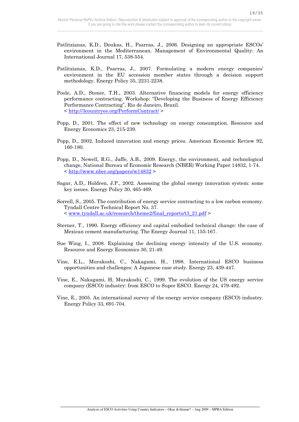19/35

- Patlitzianas, K.D., Doukas, H., Psarras, J., 2006. Designing an appropriate ESCOs' environment in the Mediterranean. Management of Environmental Quality: An International Journal 17, 538-554.
- Patlitzianas, K.D., Psarras, J., 2007. Formulating a modern energy companies' environment in the EU accession member states through a decision support methodology. Energy Policy 35, 2231-2238.
- Poole, A.D., Stoner, T.H., 2003. Alternative financing models for energy efficiency performance contracting. Workshop: "Developing the Business of Energy Efficiency Performance Contracting", Rio de Janeiro, Brazil. < http://3countryee.org/PerformContract/ >
- Popp, D., 2001. The effect of new technology on energy consumption. Resource and Energy Economics 23, 215-239.
- Popp, D., 2002. Induced innovation and energy prices. American Economic Review 92, 160-180.
- Popp, D., Newell, R.G., Jaffe, A.B., 2009. Energy, the environment, and technological change, National Bureau of Economic Research (NBER) Working Paper 14832, 1-74. < http://www.nber.org/papers/w14832 >
- Sagar, A.D., Holdren, J.P., 2002. Assessing the global energy innovation system: some key issues. Energy Policy 30, 465-469.
- Sorrell, S., 2005. The contribution of energy service contracting to a low carbon economy. Tyndall Centre Technical Report No. 37. < www.tyndall.ac.uk/research/theme2/final\_reports/t3\_21.pdf >
- Sterner, T., 1990. Energy efficiency and capital embodied technical change: the case of Mexican cement manufacturing. The Energy Journal 11, 155-167.
- Sue Wing, I., 2008. Explaining the declining energy intensity of the U.S. economy. Resource and Energy Economics 30, 21-49.
- Vine, E.L., Murakoshi, C., Nakagami, H., 1998. International ESCO business opportunities and challenges: A Japanese case study. Energy 23, 439-447.
- Vine, E., Nakagami, H, Murakoshi, C., 1999. The evolution of the US energy service company (ESCO) industry: from ESCO to Super ESCO. Energy 24, 479-492.
- Vine, E., 2005. An international survey of the energy service company (ESCO) industry. Energy Policy 33, 691-704.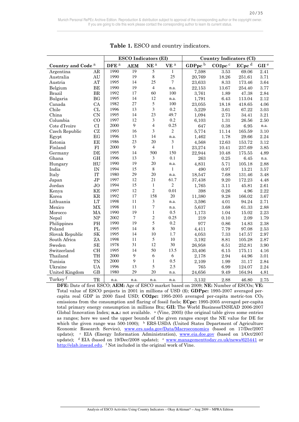|                               |                        | <b>ESCO</b> Indicators (EI) |            |                 | <b>Country Indicators (CI)</b> |                    |                     |                   |                  |
|-------------------------------|------------------------|-----------------------------|------------|-----------------|--------------------------------|--------------------|---------------------|-------------------|------------------|
| Country and Code <sup>a</sup> |                        | DFE <sup>a</sup>            | <b>AEM</b> | NE <sup>a</sup> | VE <sup>a</sup>                | GDPpc <sup>b</sup> | CO <sub>2pc</sub> c | ECpc <sup>d</sup> | GII <sup>e</sup> |
| Argentina                     | AR                     | 1990                        | 19         | 5               | $\mathbf{1}$                   | 7,598              | 3.53                | 69.06             | 2.41             |
| Australia                     | AU                     | 1990                        | 19         | $\,8\,$         | 25                             | 20,769             | 18.26               | 251.61            | 3.71             |
| Austria                       | AT                     | 1995                        | 14         | 25              | $\tau$                         | 23,633             | 8.33                | 173.46            | 3.64             |
| Belgium                       | BE                     | 1990                        | 19         | $\overline{4}$  | n.a.                           | 22,153             | 13.67               | 254.40            | 3.77             |
| <b>Brazil</b>                 | ${\rm BR}$             | 1992                        | 17         | 60              | 100                            | 3,761              | 1.89                | 47.38             | 2.84             |
| Bulgaria                      | BG                     | 1995                        | 14         | 12              | n.a.                           | 1,791              | 6.43                | 113.04            | 2.12             |
| Canada                        | CA                     | 1982                        | 27         | 5               | 100                            | 23,055             | 18.18               | 418.65            | 4.06             |
| Chile                         | CL                     | 1996                        | 13         | 3               | 0.2                            | 5,229              | 3.61                | 67.22             | 3.03             |
| China                         | <b>CN</b>              | 1995                        | 14         | 23              | 49.7                           | 1,094              | 2.73                | 34.41             | 3.21             |
| Columbia                      | CO                     | 1997                        | 12         | $\mathfrak{Z}$  | 0.2                            | 6,103              | $1.31\,$            | 26.56             | 2.50             |
| Cote d'Ivoire                 | CI                     | 2000                        | 9          | $\overline{4}$  | 0.25                           | 647                | 0.38                | 6.95              | n.a.             |
| Czech Republic                | CZ                     | 1993                        | 16         | 3               | $\overline{c}$                 | 5,774              | 11.14               | 165.59            | 3.10             |
| Egypt                         | EG                     | 1996                        | 13         | 14              | n.a.                           | 1,462              | 1.78                | 29.66             | 2.24             |
| Estonia                       | EE                     | 1986                        | 23         | 20              | 3                              | 4,568              | 12.63               | 153.72            | 3.12             |
| Finland                       | ${\rm FI}$             | 2000                        | 9          | $\overline{4}$  | $\mathbf{1}$                   | 23,274             | 10.41               | 237.69            | 3.85             |
| Germany                       | DE                     | 1995                        | 14         | 500             | 150                            | 22,944             | 10.48               | 175.55            | 4.89             |
| Ghana                         | <b>GH</b>              | 1996                        | 13         | 3               | 0.1                            | 263                | 0.25                | 6.45              | n.a.             |
| Hungary                       | HU                     | 1990                        | 19         | 20              | n.a.                           | 4,831              | 5.71                | 105.18            | 2.88             |
| India                         | IN                     | 1994                        | 15         | $\,8\,$         | $\mathbf{1}$                   | 490                | 0.97                | 13.21             | 3.57             |
| Italy                         | IT                     | 1980                        | 29         | 20              | n.a.                           | 18,547             | 7.68                | 131.46            | 3.48             |
| Japan                         | J <sub>P</sub>         | 1997                        | 12         | 21              | 61.7                           | 37,438             | 9.20                | 172.23            | 4.48             |
| Jordan                        | JO                     | 1994                        | 15         | $\mathbf{1}$    | $\overline{2}$                 | 1,765              | 3.11                | 45.81             | 2.61             |
| Kenya                         | ΚE                     | 1997                        | 12         | $\overline{2}$  | 0.01                           | 398                | 0.26                | 4.96              | 2.22             |
| Korea                         | <b>KR</b>              | 1992                        | 17         | 158             | 20                             | 11,380             | 9.28                | 166.02            | 3.67             |
| Lithuania                     | LT                     | 1998                        | 11         | 3               | n.a.                           | 3,596              | 4.01                | 94.24             | 2.71             |
| Mexico                        | MX                     | 1998                        | 11         | 7               | n.a.                           | 5.637              | 3.68                | 61.33             | 2.88             |
| Morocco                       | MA                     | 1990                        | 19         | $\mathbf{1}$    | 0.5                            | 1,173              | 1.04                | 15.02             | 2.23             |
| Nepal                         | NP                     | 2002                        | $\tau$     | $\mathfrak{2}$  | 0.25                           | 219                | 0.10                | 2.09              | 1.79             |
| Philippines                   | PH                     | 1990                        | 19         | 5               | 0.2                            | 977                | 0.86                | 14.83             | 2.38             |
| Poland                        | $\mathbf{P}\mathbf{L}$ | 1995                        | 14         | $\,8\,$         | 30                             | 4,411              | 7.79                | 97.08             | 2.53             |
| Slovak Republic               | $\rm SK$               | 1995                        | 14         | 10              | 1.7                            | 4,053              | 7.33                | 147.57            | 2.97             |
| South Africa                  | ZA                     | 1998                        | 11         | 5               | 10                             | 3,192              | 8.81                | 105.28            | 2.87             |
| Sweden                        | <b>SE</b>              | 1978                        | 31         | 12              | 30                             | 26,958             | 6.51                | 252.81            | 3.90             |
| Switzerland                   | <b>CH</b>              | 1995                        | 14         | 50              | 13.5                           | 33,406             | 6.15                | 175.11            | 4.16             |
| Thailand                      | TH                     | 2000                        | 9          | 6               | 6                              | 2,178              | 2.94                | 44.96             | 3.01             |
| Tunisia                       | <b>TN</b>              | 2000                        | 9          | $\mathbf{1}$    | 0.5                            | 2,109              | 1.99                | 31.17             | 2.84             |
| Ukraine                       | <b>UA</b>              | 1996                        | 13         | 5               | 2.5                            | 765                | 6.99                | 124.07            | 2.24             |
| United Kingdom                | GB                     | 1980                        | 29         | 20              | n.a.                           | 24,656             | 9.49                | 164.94            | 4.81             |
| Turkey <sup>f</sup>           | TR                     | n.a.                        | n.a.       | n.a.            | n.a.                           | 3,132              | 2.88                | 46.80             | 2.75             |

**Table 1.** ESCO and country indicators.

**DFE:** Date of first ESCO; **AEM:** Age of ESCO market based on 2009; **NE:** Number of ESCOs; **VE:** Total value of ESCO projects in 2001 in millions of USD (\$); **GDPpc:** 1995-2007 averaged percapita real GDP in 2000 fixed USD; **CO2pc:** 1995-2005 averaged per-capita metric-ton CO<sup>2</sup> emissions from the consumption and flaring of fossil fuels; **ECpc:** 1995-2005 averaged per-capita total primary energy consumption in millions Btu; **GII:** The World Business/INSEAD 2006-2007 Global Innovation Index; **n.a.:** not available. <sup>a</sup> (Vine, 2005) (the original table gives some entries as ranges; here we used the upper bounds of the given ranges except the NE value for DE for which the given range was  $500-1000$ ;  $\frac{b}{c}$  ERS-USDA (United States Department of Agriculture Economic Research Service), www.ers.usda.gov/Data/Macroeconomics (based on 17/Dec/2007 update); <sup>c</sup> EIA (Energy Information Administration), www.eia.doe.gov (based on 1/Oct/2007 update); <sup>d</sup> EIA (based on 19/Dec/2008 update); <sup>e</sup> www.managementtoday.co.uk/news/625441 or http://elab.insead.edu. f Not included in the original work of Vine.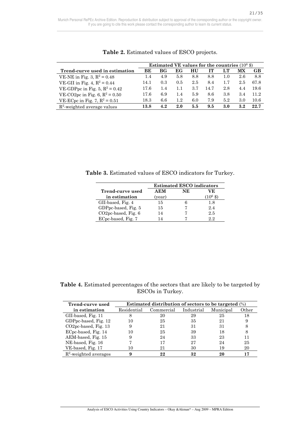|                                  | Estimated VE values for the countries $(10^6 \text{ m})$ |     |         |     |      |     |     |      |
|----------------------------------|----------------------------------------------------------|-----|---------|-----|------|-----|-----|------|
| Trend-curve used in estimation   | ВE                                                       | ВG  | EG      | HU  | TТ   |     | МX  | GВ   |
| VE-NE in Fig. 3, $R^2 = 0.48$    | 1.4                                                      | 4.9 | 5.8     | 8.8 | 8.8  | 1.0 | 2.6 | 8.8  |
| VE-GII in Fig. 4, $R^2 = 0.44$   | 14.1                                                     | 0.3 | 0.5     | 2.5 | 8.4  | 1.7 | 2.5 | 67.8 |
| VE-GDPpc in Fig. 5, $R^2 = 0.42$ | 17.6                                                     | 1.4 | 1.1     | 3.7 | 14.7 | 2.8 | 4.4 | 19.6 |
| VE-CO2pc in Fig. 6, $R^2 = 0.50$ | 17.6                                                     | 6.9 | 1.4     | 5.9 | 8.6  | 3.8 | 3.4 | 11.2 |
| VE-EC pc in Fig. 7, $R^2 = 0.51$ | 18.3                                                     | 6.6 | $1.2\,$ | 6.0 | 7.9  | 5.2 | 3.0 | 10.6 |
| $R^2$ -weighted average values   | 13.8                                                     | 4.2 | 2.0     | 5.5 | 9.5  | 3.0 | 3.2 | 22.7 |

**Table 2.** Estimated values of ESCO projects.

**Table 3.** Estimated values of ESCO indicators for Turkey.

|                                  | <b>Estimated ESCO indicators</b> |    |     |  |  |  |
|----------------------------------|----------------------------------|----|-----|--|--|--|
| Trend-curve used                 | AEM                              | NE | VE. |  |  |  |
| in estimation                    | (year)                           |    |     |  |  |  |
| GII-based, Fig. 4                | 15                               |    | 1.8 |  |  |  |
| GDPpc-based, Fig. 5              | 15                               |    | 2.4 |  |  |  |
| CO <sub>2</sub> pc-based, Fig. 6 | 14                               |    | 2.5 |  |  |  |
| ECpc-based, Fig. 7               |                                  |    | 22  |  |  |  |

**Table 4.** Estimated percentages of the sectors that are likely to be targeted by ESCOs in Turkey.

| Trend-curve used         | Estimated distribution of sectors to be targeted $(\%)$ |            |            |           |       |  |  |  |
|--------------------------|---------------------------------------------------------|------------|------------|-----------|-------|--|--|--|
| in estimation            | Residential                                             | Commercial | Industrial | Municipal | Other |  |  |  |
| GII-based, Fig. 11       |                                                         | 20         | 29         | 25        | 18    |  |  |  |
| GDPpc-based, Fig. 12     | 10                                                      | 25         | 35         | 21        | 9     |  |  |  |
| $CO2pc$ -based, Fig. 13  |                                                         | 21         | 31         | 31        | 8     |  |  |  |
| ECpc-based, Fig. 14      | 10                                                      | 25         | 39         | 18        | 8     |  |  |  |
| AEM-based, Fig. 15       |                                                         | 24         | 33         | 23        | 11    |  |  |  |
| NE-based, Fig. 16        |                                                         | 17         | 27         | 24        | 25    |  |  |  |
| VE-based, Fig. 17        | 10                                                      | 21         | 30         | 19        | 20    |  |  |  |
| $R^2$ -weighted averages |                                                         | 22         | 32         | 20        |       |  |  |  |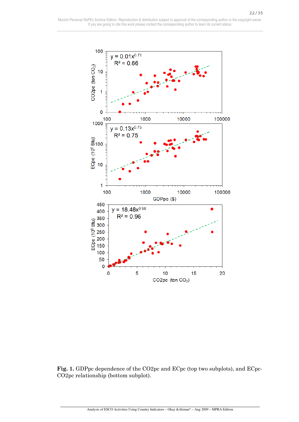

**Fig. 1.** GDPpc dependence of the CO2pc and ECpc (top two subplots), and ECpc-CO2pc relationship (bottom subplot).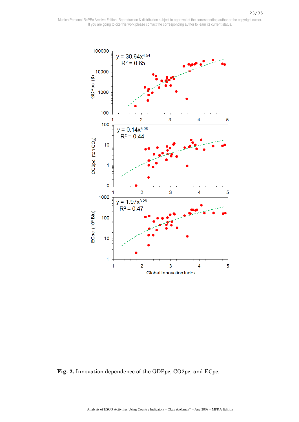

**Fig. 2.** Innovation dependence of the GDPpc, CO2pc, and ECpc.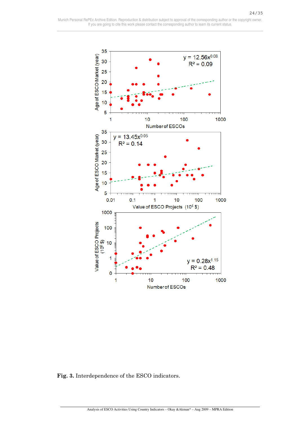

**Fig. 3.** Interdependence of the ESCO indicators.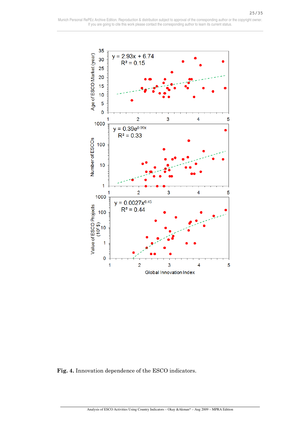

**Fig. 4.** Innovation dependence of the ESCO indicators.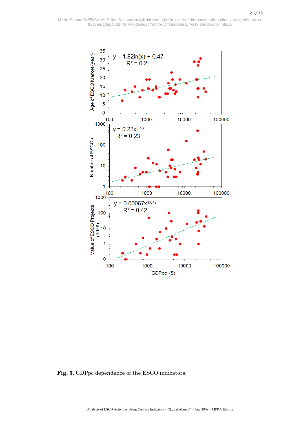

**Fig. 5.** GDPpc dependence of the ESCO indicators.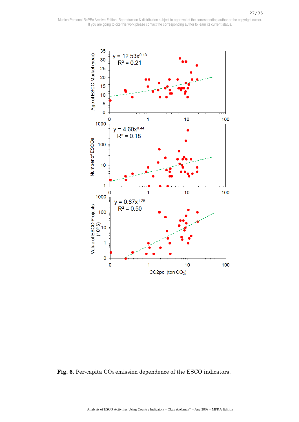

Fig. 6. Per-capita CO<sub>2</sub> emission dependence of the ESCO indicators.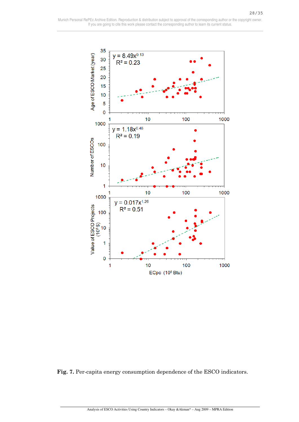

**Fig. 7.** Per-capita energy consumption dependence of the ESCO indicators.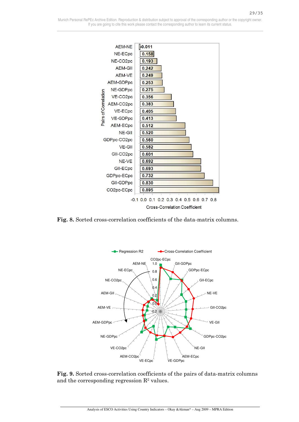

**Fig. 8.** Sorted cross-correlation coefficients of the data-matrix columns.



**Fig. 9.** Sorted cross-correlation coefficients of the pairs of data-matrix columns and the corresponding regression  $\mathbb{R}^2$  values.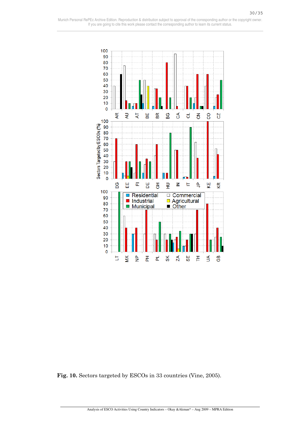

**Fig. 10.** Sectors targeted by ESCOs in 33 countries (Vine, 2005).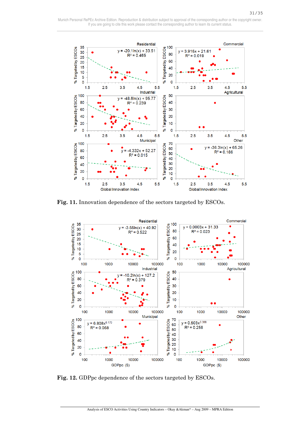31/35



**Fig. 11.** Innovation dependence of the sectors targeted by ESCOs.



**Fig. 12.** GDPpc dependence of the sectors targeted by ESCOs.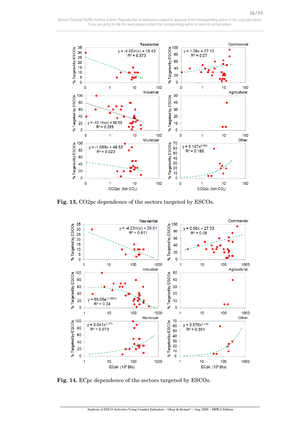

**Fig. 13.** CO2pc dependence of the sectors targeted by ESCOs.



**Fig. 14.** ECpc dependence of the sectors targeted by ESCOs.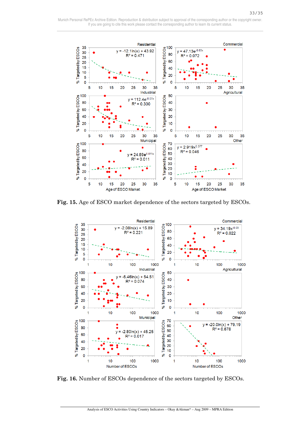

**Fig. 15.** Age of ESCO market dependence of the sectors targeted by ESCOs.



**Fig. 16.** Number of ESCOs dependence of the sectors targeted by ESCOs.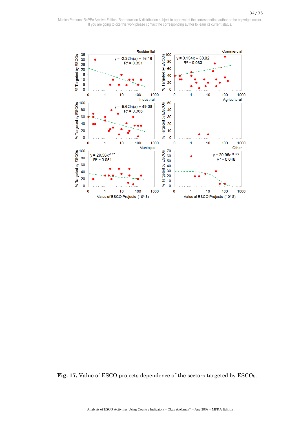

**Fig. 17.** Value of ESCO projects dependence of the sectors targeted by ESCOs.